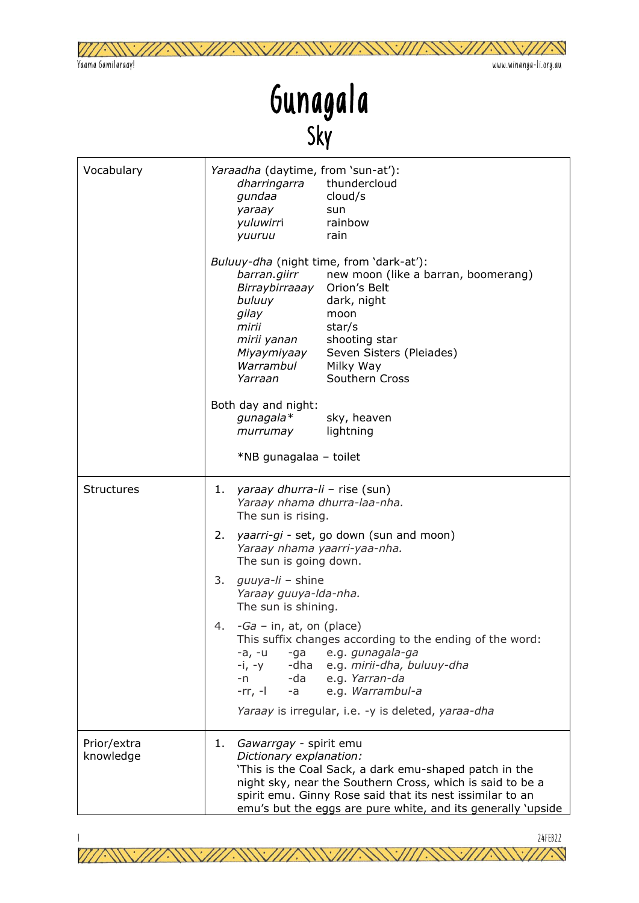

## Gunagala Sky

| Vocabulary               | Yaraadha (daytime, from 'sun-at'):<br>dharringarra thundercloud<br>gundaa<br>cloud/s<br>yaraay<br>sun<br>yuluwirri<br>rainbow<br>yuuruu<br>rain                                                                                                                                                                                  |
|--------------------------|----------------------------------------------------------------------------------------------------------------------------------------------------------------------------------------------------------------------------------------------------------------------------------------------------------------------------------|
|                          | Buluuy-dha (night time, from 'dark-at'):<br>new moon (like a barran, boomerang)<br>barran.giirr<br>Birraybirraaay<br>Orion's Belt<br>dark, night<br>buluuy<br>gilay<br>moon<br>mirii<br>star/s<br>mirii yanan<br>shooting star<br>Miyaymiyaay<br>Seven Sisters (Pleiades)<br>Warrambul<br>Milky Way<br>Southern Cross<br>Yarraan |
|                          | Both day and night:<br>gunagala*<br>sky, heaven<br>lightning<br>murrumay<br>*NB gunagalaa - toilet                                                                                                                                                                                                                               |
| <b>Structures</b>        | 1.<br>yaraay dhurra-li - rise (sun)<br>Yaraay nhama dhurra-laa-nha.<br>The sun is rising.                                                                                                                                                                                                                                        |
|                          | yaarri-gi - set, go down (sun and moon)<br>2.<br>Yaraay nhama yaarri-yaa-nha.<br>The sun is going down.                                                                                                                                                                                                                          |
|                          | 3.<br>guuya-li – shine<br>Yaraay guuya-Ida-nha.<br>The sun is shining.                                                                                                                                                                                                                                                           |
|                          | - <i>Ga</i> – in, at, on (place)<br>4.<br>This suffix changes according to the ending of the word:<br>-a, -u -ga e.g. <i>gunagala-ga</i><br>$-i, -y$<br>-dha e.g. mirii-dha, buluuy-dha<br>$-n$<br>-da<br>e.g. Yarran-da<br>$-a$<br>e.g. Warrambul-a<br>$-rr, -1$                                                                |
|                          | Yaraay is irregular, i.e. -y is deleted, yaraa-dha                                                                                                                                                                                                                                                                               |
| Prior/extra<br>knowledge | Gawarrgay - spirit emu<br>1.<br>Dictionary explanation:<br>'This is the Coal Sack, a dark emu-shaped patch in the<br>night sky, near the Southern Cross, which is said to be a<br>spirit emu. Ginny Rose said that its nest issimilar to an<br>emu's but the eggs are pure white, and its generally 'upside                      |

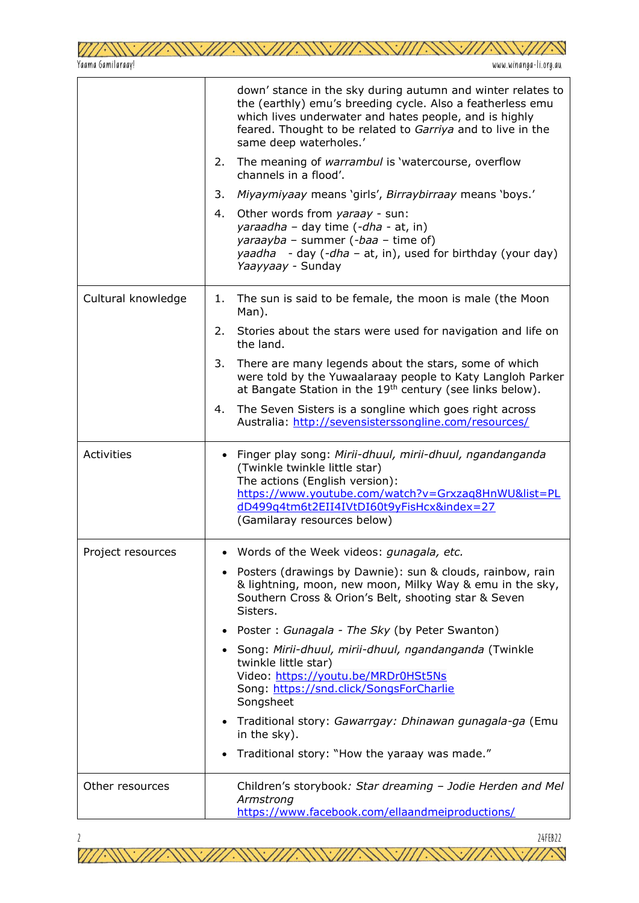|                    | down' stance in the sky during autumn and winter relates to<br>the (earthly) emu's breeding cycle. Also a featherless emu<br>which lives underwater and hates people, and is highly<br>feared. Thought to be related to Garriya and to live in the<br>same deep waterholes.' |
|--------------------|------------------------------------------------------------------------------------------------------------------------------------------------------------------------------------------------------------------------------------------------------------------------------|
|                    | The meaning of warrambul is 'watercourse, overflow<br>2.<br>channels in a flood'.                                                                                                                                                                                            |
|                    | Miyaymiyaay means 'girls', Birraybirraay means 'boys.'<br>3.                                                                                                                                                                                                                 |
|                    | Other words from yaraay - sun:<br>4.<br>yaraadha - day time (-dha - at, in)<br>yaraayba - summer (-baa - time of)<br>yaadha - day $(-dha - at, in)$ , used for birthday (your day)<br>Yaayyaay - Sunday                                                                      |
| Cultural knowledge | The sun is said to be female, the moon is male (the Moon<br>1.<br>Man).                                                                                                                                                                                                      |
|                    | Stories about the stars were used for navigation and life on<br>2.<br>the land.                                                                                                                                                                                              |
|                    | 3.<br>There are many legends about the stars, some of which<br>were told by the Yuwaalaraay people to Katy Langloh Parker<br>at Bangate Station in the 19 <sup>th</sup> century (see links below).                                                                           |
|                    | The Seven Sisters is a songline which goes right across<br>4.<br>Australia: http://sevensisterssongline.com/resources/                                                                                                                                                       |
| <b>Activities</b>  | • Finger play song: Mirii-dhuul, mirii-dhuul, ngandanganda<br>(Twinkle twinkle little star)<br>The actions (English version):<br>https://www.youtube.com/watch?v=Grxzaq8HnWU&list=PL<br>dD499q4tm6t2EII4IVtDI60t9yFisHcx&index=27<br>(Gamilaray resources below)             |
| Project resources  | Words of the Week videos: gunagala, etc.                                                                                                                                                                                                                                     |
|                    | Posters (drawings by Dawnie): sun & clouds, rainbow, rain<br>$\bullet$<br>& lightning, moon, new moon, Milky Way & emu in the sky,<br>Southern Cross & Orion's Belt, shooting star & Seven<br>Sisters.                                                                       |
|                    | Poster: Gunagala - The Sky (by Peter Swanton)<br>$\bullet$                                                                                                                                                                                                                   |
|                    | Song: Mirii-dhuul, mirii-dhuul, ngandanganda (Twinkle<br>$\bullet$<br>twinkle little star)<br>Video: https://youtu.be/MRDr0HSt5Ns<br>Song: https://snd.click/SongsForCharlie<br>Songsheet                                                                                    |
|                    | Traditional story: Gawarrgay: Dhinawan gunagala-ga (Emu<br>$\bullet$<br>in the sky).                                                                                                                                                                                         |
|                    | Traditional story: "How the yaraay was made."                                                                                                                                                                                                                                |
| Other resources    | Children's storybook: Star dreaming - Jodie Herden and Mel<br>Armstrong<br>https://www.facebook.com/ellaandmeiproductions/                                                                                                                                                   |